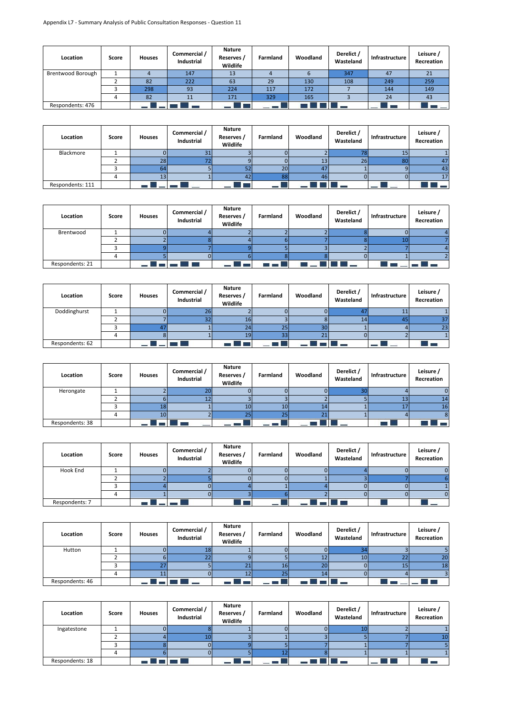| Location          | Score | <b>Houses</b> | Commercial /<br>Industrial | <b>Nature</b><br>Reserves<br>Wildlife | Farmland | Woodland | Derelict /<br>Wasteland | Infrastructure | Leisure /<br>Recreation |
|-------------------|-------|---------------|----------------------------|---------------------------------------|----------|----------|-------------------------|----------------|-------------------------|
| Brentwood Borough |       |               | 147                        | 13                                    |          |          | 347                     | 47             | 21                      |
|                   |       | 82            | 222                        | 63                                    | 29       | 130      | 108                     | 249            | 259                     |
|                   |       | 298           | 93                         | 224                                   | 117      | 172      |                         | 144            | 149                     |
|                   |       | 82            | 11                         | 171                                   | 329      | 165      |                         | 24             | 43                      |
| Respondents: 476  |       |               |                            |                                       |          |          |                         |                |                         |

| Location         | Score | <b>Houses</b> | Commercial /<br>Industrial | <b>Nature</b><br>Reserves /<br>Wildlife | Farmland        | Woodland | Derelict /<br>Wasteland | Infrastructure | Leisure /<br>Recreation |
|------------------|-------|---------------|----------------------------|-----------------------------------------|-----------------|----------|-------------------------|----------------|-------------------------|
| Blackmore        |       |               |                            |                                         |                 |          | 70                      |                |                         |
|                  |       | 28            |                            |                                         |                 | 13       | 26                      | 80             | 47                      |
|                  |       |               |                            |                                         | 20              | 47       |                         |                | 43                      |
|                  |       |               |                            | 42                                      | 88              | 46       |                         |                | 17                      |
| Respondents: 111 |       |               |                            |                                         | <b>Contract</b> |          |                         |                |                         |

| Location        | Score | <b>Houses</b> | Commercial /<br>Industrial | <b>Nature</b><br>Reserves /<br>Wildlife | Farmland | Woodland | Derelict /<br>Wasteland | Infrastructure | Leisure /<br>Recreation |
|-----------------|-------|---------------|----------------------------|-----------------------------------------|----------|----------|-------------------------|----------------|-------------------------|
| Brentwood       |       |               |                            |                                         |          |          |                         |                |                         |
|                 |       |               |                            |                                         |          |          |                         |                |                         |
|                 |       |               |                            |                                         |          |          |                         |                |                         |
|                 |       |               |                            |                                         |          |          |                         |                |                         |
| Respondents: 21 |       |               |                            |                                         |          |          |                         |                |                         |

| Location        | Score | <b>Houses</b> | Commercial /<br>Industrial | Nature<br>Reserves /<br>Wildlife | Farmland | Woodland | Derelict /<br>Wasteland | Infrastructure | Leisure /<br>Recreation |
|-----------------|-------|---------------|----------------------------|----------------------------------|----------|----------|-------------------------|----------------|-------------------------|
| Doddinghurst    |       |               | 26                         |                                  |          |          |                         | . .            |                         |
|                 |       |               |                            | 1b.                              |          |          | 14                      |                |                         |
|                 |       |               |                            |                                  | 25       | 30       |                         |                | 23                      |
|                 |       |               |                            | 19                               | 33       | ີ        |                         |                |                         |
| Respondents: 62 |       |               |                            |                                  |          |          |                         |                |                         |

| Location        | Score | <b>Houses</b>   | Commercial /<br>Industrial | <b>Nature</b><br>Reserves /<br>Wildlife | Farmland | Woodland | Derelict /<br>Wasteland | Infrastructure | Leisure /<br>Recreation |
|-----------------|-------|-----------------|----------------------------|-----------------------------------------|----------|----------|-------------------------|----------------|-------------------------|
| Herongate       |       |                 | zu                         |                                         |          |          |                         |                |                         |
|                 |       |                 |                            |                                         |          |          |                         | 13             | 14                      |
|                 |       | 18              |                            | 10                                      | 10       |          |                         | 17             | 16                      |
|                 |       | 10 <sub>1</sub> |                            | 25                                      | 25       | ີ        |                         |                |                         |
| Respondents: 38 |       |                 |                            |                                         |          |          |                         |                |                         |

| Location       | Score | <b>Houses</b> | Commercial /<br>Industrial | <b>Nature</b><br>Reserves /<br>Wildlife | Farmland | Woodland | Derelict /<br>Wasteland | Infrastructure | Leisure /<br>Recreation |
|----------------|-------|---------------|----------------------------|-----------------------------------------|----------|----------|-------------------------|----------------|-------------------------|
| Hook End       |       |               |                            |                                         |          |          |                         |                |                         |
|                |       |               |                            |                                         |          |          |                         |                |                         |
|                |       |               |                            |                                         |          |          |                         |                |                         |
|                |       |               |                            |                                         |          |          |                         |                |                         |
| Respondents: 7 |       |               |                            |                                         |          |          |                         |                |                         |

| Location        | Score | <b>Houses</b> | Commercial /<br>Industrial | Nature<br>Reserves /<br>Wildlife | Farmland | Woodland | Derelict /<br>Wasteland | Infrastructure | Leisure /<br>Recreation |
|-----------------|-------|---------------|----------------------------|----------------------------------|----------|----------|-------------------------|----------------|-------------------------|
| Hutton          |       |               | 18                         |                                  |          |          |                         |                |                         |
|                 |       |               | ے                          |                                  |          | 12       | 10 <sup>1</sup>         | 22             | 20                      |
|                 |       |               |                            |                                  | 16       | 20       |                         | 15             | 18                      |
|                 |       |               |                            | 12                               | 25       | 141      |                         |                |                         |
| Respondents: 46 |       |               |                            |                                  |          |          |                         |                |                         |

| Location        | Score | <b>Houses</b> | Commercial /<br>Industrial | <b>Nature</b><br>Reserves /<br>Wildlife | Farmland | Woodland | Derelict /<br>Wasteland | Infrastructure | Leisure /<br>Recreation |
|-----------------|-------|---------------|----------------------------|-----------------------------------------|----------|----------|-------------------------|----------------|-------------------------|
| Ingatestone     |       |               |                            |                                         |          |          |                         |                |                         |
|                 |       |               | 101                        |                                         |          |          |                         |                |                         |
|                 |       |               |                            |                                         |          |          |                         |                |                         |
|                 |       |               |                            |                                         |          |          |                         |                |                         |
| Respondents: 18 |       |               |                            |                                         |          |          |                         |                | à e u                   |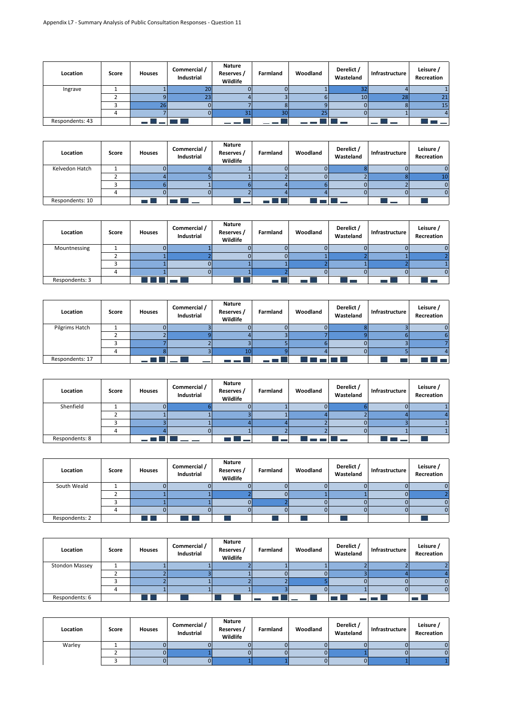| Location        | Score | <b>Houses</b> | Commercial /<br>Industrial | <b>Nature</b><br>Reserves /<br>Wildlife | Farmland | Woodland | Derelict /<br>Wasteland | Infrastructure | Leisure /<br>Recreation |
|-----------------|-------|---------------|----------------------------|-----------------------------------------|----------|----------|-------------------------|----------------|-------------------------|
| Ingrave         |       |               | 20                         |                                         |          |          |                         |                |                         |
|                 |       |               |                            |                                         |          |          | 10 <sup>1</sup>         | 28             |                         |
|                 |       |               |                            |                                         |          |          |                         |                | 15                      |
|                 |       |               |                            |                                         | 30       | nп       |                         |                |                         |
| Respondents: 43 |       |               |                            |                                         |          |          |                         |                |                         |

| Location        | Score | <b>Houses</b> | Commercial /<br>Industrial | <b>Nature</b><br>Reserves /<br>Wildlife | Farmland | Woodland | Derelict /<br>Wasteland | Infrastructure | Leisure /<br>Recreation |
|-----------------|-------|---------------|----------------------------|-----------------------------------------|----------|----------|-------------------------|----------------|-------------------------|
| Kelvedon Hatch  |       |               |                            |                                         |          |          |                         |                |                         |
|                 |       |               |                            |                                         |          |          |                         |                |                         |
|                 |       |               |                            |                                         |          |          |                         |                |                         |
|                 |       |               |                            |                                         |          |          |                         |                |                         |
| Respondents: 10 |       |               |                            |                                         |          |          |                         |                |                         |

| Location       | Score | <b>Houses</b> | Commercial /<br>Industrial | <b>Nature</b><br>Reserves /<br>Wildlife | Farmland | Woodland | Derelict /<br>Wasteland | Infrastructure | Leisure /<br>Recreation |
|----------------|-------|---------------|----------------------------|-----------------------------------------|----------|----------|-------------------------|----------------|-------------------------|
| Mountnessing   |       |               |                            |                                         |          |          |                         |                |                         |
|                |       |               |                            |                                         |          |          |                         |                |                         |
|                |       |               |                            |                                         |          |          |                         |                |                         |
|                |       |               |                            |                                         |          |          |                         |                |                         |
| Respondents: 3 |       |               |                            |                                         |          |          |                         |                |                         |

| Location        | Score | <b>Houses</b> | Commercial /<br>Industrial | <b>Nature</b><br>Reserves /<br>Wildlife | Farmland | Woodland | Derelict /<br>Wasteland | Infrastructure | Leisure /<br>Recreation |
|-----------------|-------|---------------|----------------------------|-----------------------------------------|----------|----------|-------------------------|----------------|-------------------------|
| Pilgrims Hatch  |       |               |                            |                                         |          |          |                         |                |                         |
|                 |       |               |                            |                                         |          |          |                         |                |                         |
|                 |       |               |                            |                                         |          |          |                         |                |                         |
|                 |       |               |                            |                                         |          |          |                         |                |                         |
| Respondents: 17 |       |               |                            |                                         |          |          |                         |                |                         |

| Location       | Score | <b>Houses</b> | Commercial /<br>Industrial | <b>Nature</b><br>Reserves /<br>Wildlife | Farmland | Woodland | Derelict /<br>Wasteland | Infrastructure | Leisure /<br>Recreation |
|----------------|-------|---------------|----------------------------|-----------------------------------------|----------|----------|-------------------------|----------------|-------------------------|
| Shenfield      |       |               |                            |                                         |          |          |                         |                |                         |
|                |       |               |                            |                                         |          |          |                         |                |                         |
|                |       |               |                            |                                         |          |          |                         |                |                         |
|                |       |               |                            |                                         |          |          |                         |                |                         |
| Respondents: 8 |       |               |                            |                                         |          |          |                         |                |                         |

| Location       | Score | <b>Houses</b> | Commercial /<br>Industrial | <b>Nature</b><br>Reserves /<br>Wildlife | Farmland | Woodland | Derelict /<br>Wasteland | Infrastructure | Leisure /<br>Recreation |
|----------------|-------|---------------|----------------------------|-----------------------------------------|----------|----------|-------------------------|----------------|-------------------------|
| South Weald    |       |               |                            |                                         |          |          |                         |                |                         |
|                |       |               |                            |                                         |          |          |                         |                |                         |
|                |       |               |                            |                                         |          |          |                         |                |                         |
|                |       |               |                            |                                         |          |          |                         |                |                         |
| Respondents: 2 |       |               |                            |                                         |          |          |                         |                |                         |

| Location              | Score | <b>Houses</b> | Commercial /<br>Industrial | <b>Nature</b><br>Reserves /<br>Wildlife | Farmland | Woodland | Derelict /<br>Wasteland | Infrastructure | Leisure /<br>Recreation |
|-----------------------|-------|---------------|----------------------------|-----------------------------------------|----------|----------|-------------------------|----------------|-------------------------|
| <b>Stondon Massey</b> |       |               |                            |                                         |          |          |                         |                |                         |
|                       |       |               |                            |                                         |          |          |                         |                |                         |
|                       |       |               |                            |                                         |          |          |                         |                |                         |
|                       |       |               |                            |                                         |          |          |                         |                |                         |
| Respondents: 6        |       | u pro         |                            |                                         |          |          |                         |                |                         |

| Location | Score | <b>Houses</b> | Commercial /<br>Industrial | <b>Nature</b><br>Reserves /<br>Wildlife | Farmland | Woodland | Derelict /<br>Wasteland | Infrastructure | Leisure /<br>Recreation |
|----------|-------|---------------|----------------------------|-----------------------------------------|----------|----------|-------------------------|----------------|-------------------------|
| Warley   |       |               |                            |                                         |          |          |                         |                |                         |
|          |       |               |                            |                                         |          |          |                         |                |                         |
|          |       |               |                            |                                         |          |          |                         |                |                         |